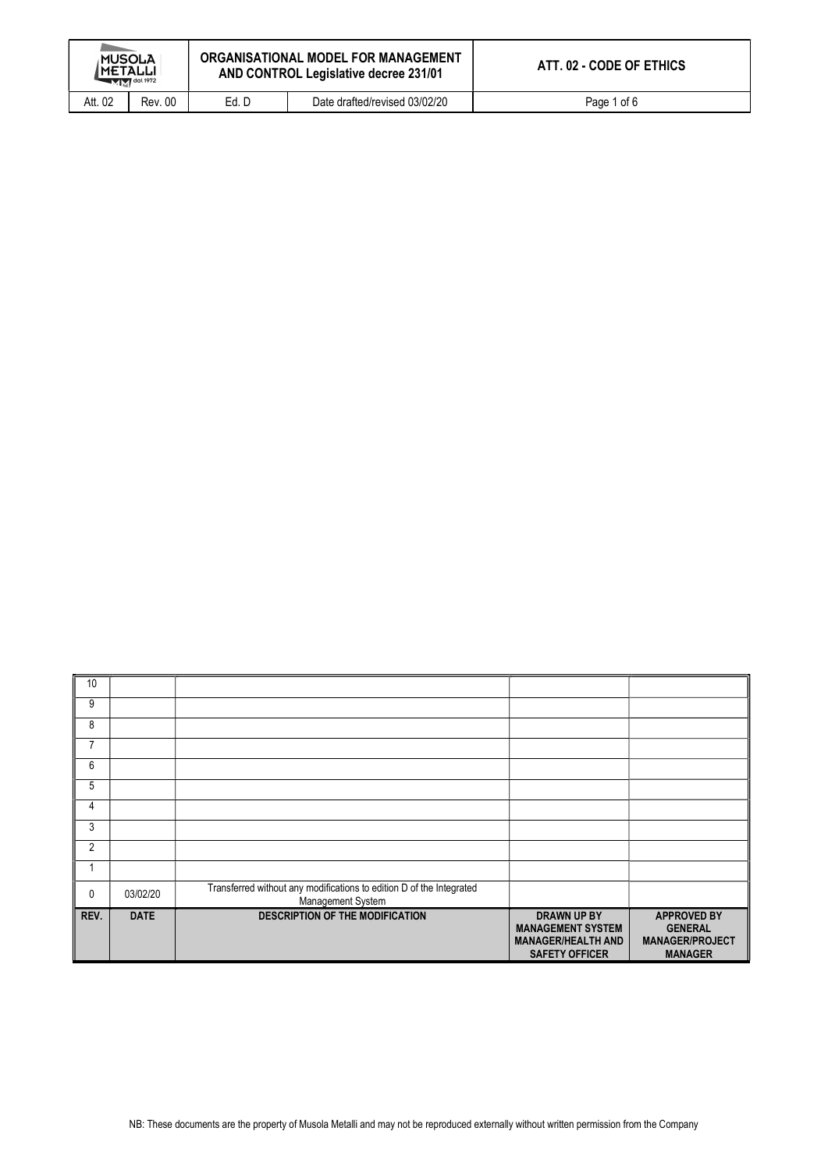| <b>MUSOLA</b><br><b>IMETALLI</b><br>$-MM$ <sup>dal 1972</sup> |                | ORGANISATIONAL MODEL FOR MANAGEMENT<br>AND CONTROL Legislative decree 231/01 |                               | ATT. 02 - CODE OF ETHICS |
|---------------------------------------------------------------|----------------|------------------------------------------------------------------------------|-------------------------------|--------------------------|
| Att. 02                                                       | <b>Rev. 00</b> | Ed. D                                                                        | Date drafted/revised 03/02/20 | Page 1 of 6              |

| 10             |             |                                                                                           |                                                                                                      |                                                                                  |
|----------------|-------------|-------------------------------------------------------------------------------------------|------------------------------------------------------------------------------------------------------|----------------------------------------------------------------------------------|
| 9              |             |                                                                                           |                                                                                                      |                                                                                  |
| 8              |             |                                                                                           |                                                                                                      |                                                                                  |
| 7              |             |                                                                                           |                                                                                                      |                                                                                  |
| 6              |             |                                                                                           |                                                                                                      |                                                                                  |
| 5              |             |                                                                                           |                                                                                                      |                                                                                  |
| 4              |             |                                                                                           |                                                                                                      |                                                                                  |
| 3              |             |                                                                                           |                                                                                                      |                                                                                  |
| $\overline{2}$ |             |                                                                                           |                                                                                                      |                                                                                  |
|                |             |                                                                                           |                                                                                                      |                                                                                  |
| 0              | 03/02/20    | Transferred without any modifications to edition D of the Integrated<br>Management System |                                                                                                      |                                                                                  |
| REV.           | <b>DATE</b> | <b>DESCRIPTION OF THE MODIFICATION</b>                                                    | <b>DRAWN UP BY</b><br><b>MANAGEMENT SYSTEM</b><br><b>MANAGER/HEALTH AND</b><br><b>SAFETY OFFICER</b> | <b>APPROVED BY</b><br><b>GENERAL</b><br><b>MANAGER/PROJECT</b><br><b>MANAGER</b> |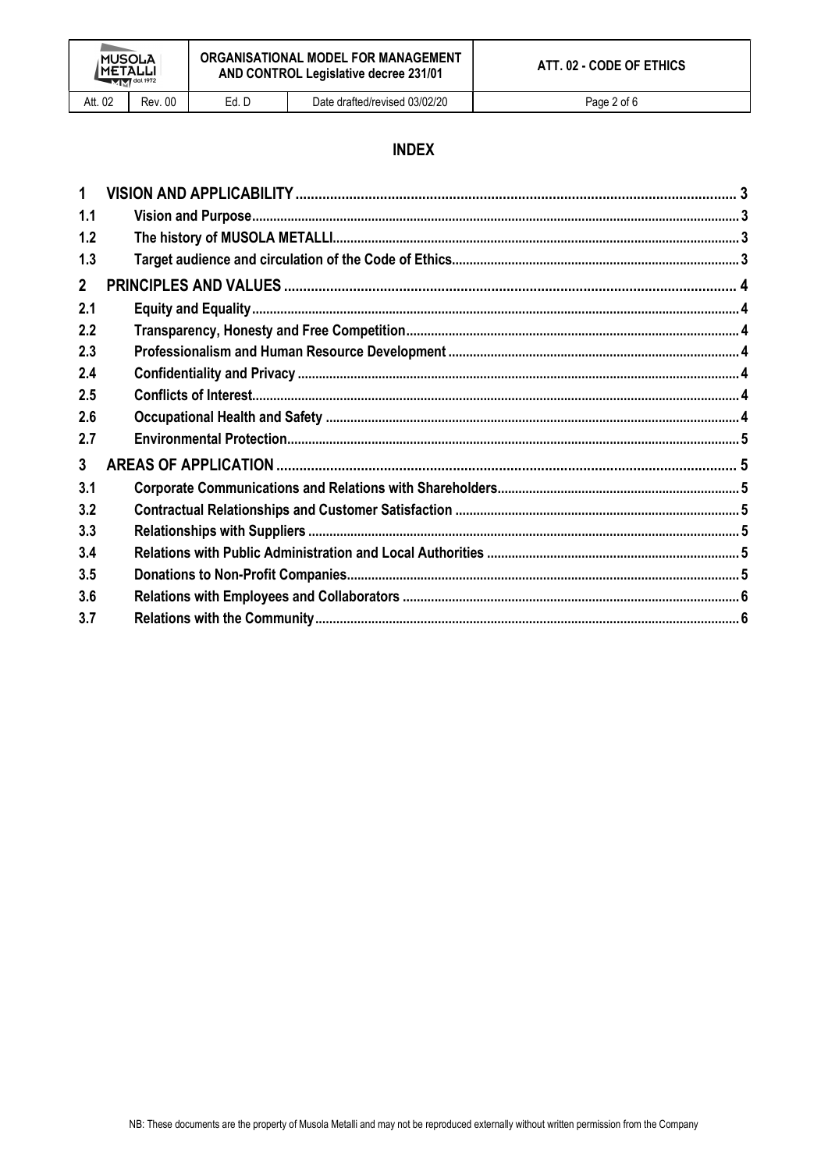# **INDEX**

| $\mathbf 1$    |  |
|----------------|--|
| 1.1            |  |
| 1.2            |  |
| 1.3            |  |
| $\overline{2}$ |  |
| 2.1            |  |
| 2.2            |  |
| 2.3            |  |
| 2.4            |  |
| 2.5            |  |
| 2.6            |  |
| 2.7            |  |
| $\mathbf{3}$   |  |
| 3.1            |  |
| 3.2            |  |
| 3.3            |  |
| 3.4            |  |
| 3.5            |  |
| 3.6            |  |
| 3.7            |  |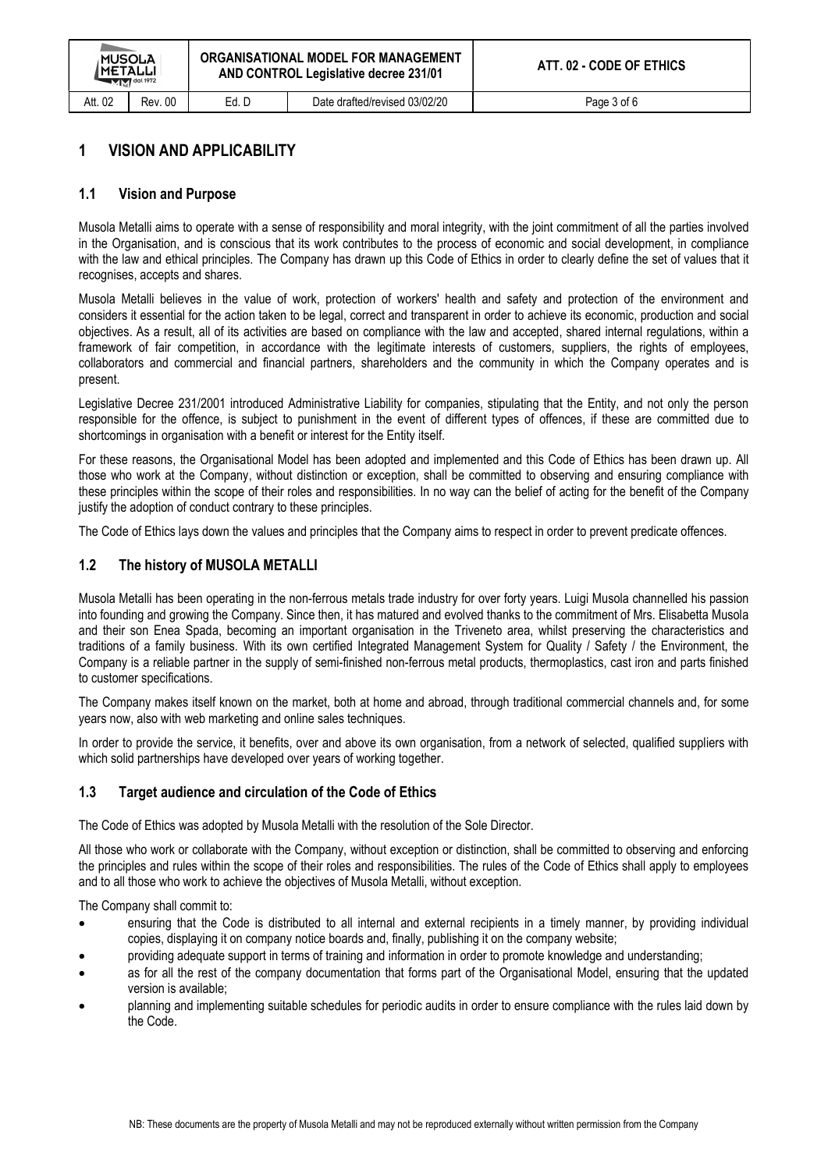| <b>MUSOLA</b><br><b> METALLI</b><br>$M$ $M$ <sup>dal 1972</sup> |                | ORGANISATIONAL MODEL FOR MANAGEMENT<br>AND CONTROL Legislative decree 231/01 |                               | ATT. 02 - CODE OF ETHICS |
|-----------------------------------------------------------------|----------------|------------------------------------------------------------------------------|-------------------------------|--------------------------|
| Att. 02                                                         | <b>Rev. 00</b> | Ed. D                                                                        | Date drafted/revised 03/02/20 | Page 3 of 6              |

## 1 VISION AND APPLICABILITY

#### 1.1 Vision and Purpose

Musola Metalli aims to operate with a sense of responsibility and moral integrity, with the joint commitment of all the parties involved in the Organisation, and is conscious that its work contributes to the process of economic and social development, in compliance with the law and ethical principles. The Company has drawn up this Code of Ethics in order to clearly define the set of values that it recognises, accepts and shares.

Musola Metalli believes in the value of work, protection of workers' health and safety and protection of the environment and considers it essential for the action taken to be legal, correct and transparent in order to achieve its economic, production and social objectives. As a result, all of its activities are based on compliance with the law and accepted, shared internal regulations, within a framework of fair competition, in accordance with the legitimate interests of customers, suppliers, the rights of employees, collaborators and commercial and financial partners, shareholders and the community in which the Company operates and is present.

Legislative Decree 231/2001 introduced Administrative Liability for companies, stipulating that the Entity, and not only the person responsible for the offence, is subject to punishment in the event of different types of offences, if these are committed due to shortcomings in organisation with a benefit or interest for the Entity itself.

For these reasons, the Organisational Model has been adopted and implemented and this Code of Ethics has been drawn up. All those who work at the Company, without distinction or exception, shall be committed to observing and ensuring compliance with these principles within the scope of their roles and responsibilities. In no way can the belief of acting for the benefit of the Company justify the adoption of conduct contrary to these principles.

The Code of Ethics lays down the values and principles that the Company aims to respect in order to prevent predicate offences.

#### 1.2 The history of MUSOLA METALLI

Musola Metalli has been operating in the non-ferrous metals trade industry for over forty years. Luigi Musola channelled his passion into founding and growing the Company. Since then, it has matured and evolved thanks to the commitment of Mrs. Elisabetta Musola and their son Enea Spada, becoming an important organisation in the Triveneto area, whilst preserving the characteristics and traditions of a family business. With its own certified Integrated Management System for Quality / Safety / the Environment, the Company is a reliable partner in the supply of semi-finished non-ferrous metal products, thermoplastics, cast iron and parts finished to customer specifications.

The Company makes itself known on the market, both at home and abroad, through traditional commercial channels and, for some years now, also with web marketing and online sales techniques.

In order to provide the service, it benefits, over and above its own organisation, from a network of selected, qualified suppliers with which solid partnerships have developed over years of working together.

#### 1.3 Target audience and circulation of the Code of Ethics

The Code of Ethics was adopted by Musola Metalli with the resolution of the Sole Director.

All those who work or collaborate with the Company, without exception or distinction, shall be committed to observing and enforcing the principles and rules within the scope of their roles and responsibilities. The rules of the Code of Ethics shall apply to employees and to all those who work to achieve the objectives of Musola Metalli, without exception.

The Company shall commit to:

- ensuring that the Code is distributed to all internal and external recipients in a timely manner, by providing individual copies, displaying it on company notice boards and, finally, publishing it on the company website;
- providing adequate support in terms of training and information in order to promote knowledge and understanding;
- as for all the rest of the company documentation that forms part of the Organisational Model, ensuring that the updated version is available;
- planning and implementing suitable schedules for periodic audits in order to ensure compliance with the rules laid down by the Code.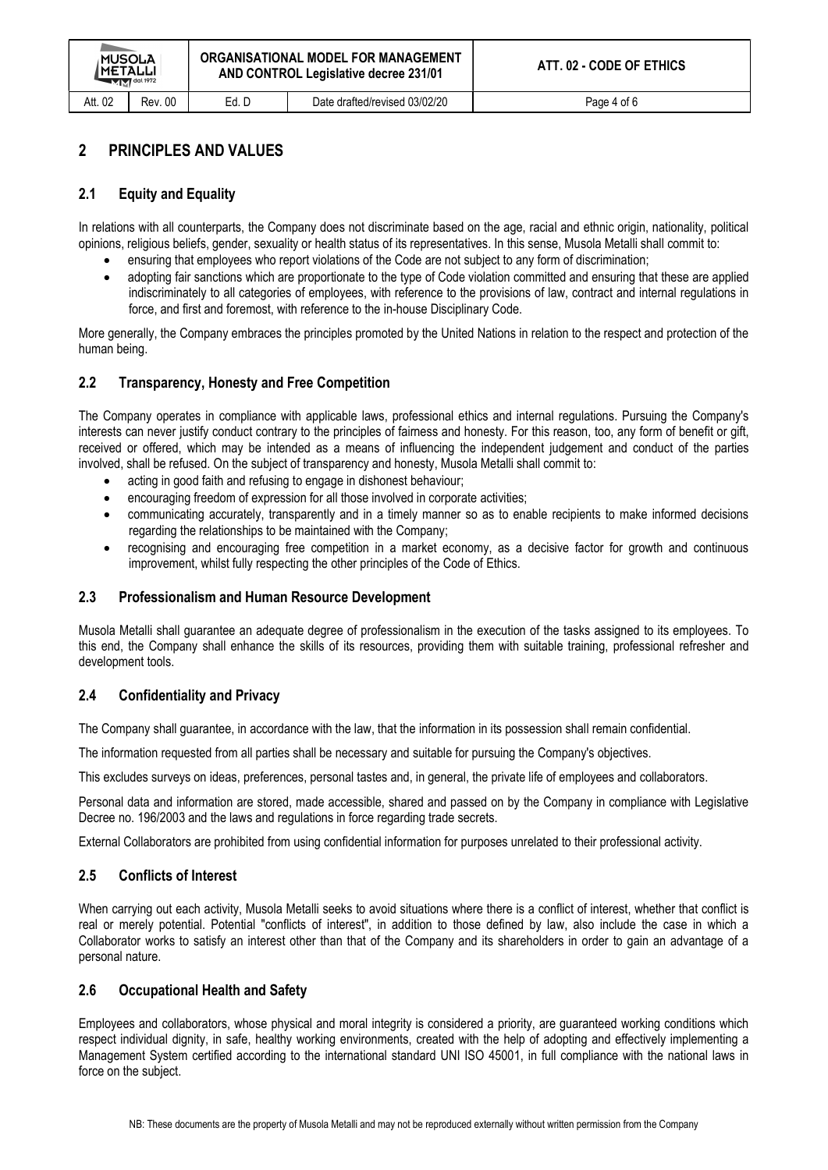# 2 PRINCIPLES AND VALUES

#### 2.1 Equity and Equality

In relations with all counterparts, the Company does not discriminate based on the age, racial and ethnic origin, nationality, political opinions, religious beliefs, gender, sexuality or health status of its representatives. In this sense, Musola Metalli shall commit to:

- ensuring that employees who report violations of the Code are not subject to any form of discrimination;
- adopting fair sanctions which are proportionate to the type of Code violation committed and ensuring that these are applied indiscriminately to all categories of employees, with reference to the provisions of law, contract and internal regulations in force, and first and foremost, with reference to the in-house Disciplinary Code.

More generally, the Company embraces the principles promoted by the United Nations in relation to the respect and protection of the human being.

#### 2.2 Transparency, Honesty and Free Competition

The Company operates in compliance with applicable laws, professional ethics and internal regulations. Pursuing the Company's interests can never justify conduct contrary to the principles of fairness and honesty. For this reason, too, any form of benefit or gift, received or offered, which may be intended as a means of influencing the independent judgement and conduct of the parties involved, shall be refused. On the subject of transparency and honesty, Musola Metalli shall commit to:

- acting in good faith and refusing to engage in dishonest behaviour;
- encouraging freedom of expression for all those involved in corporate activities;
- communicating accurately, transparently and in a timely manner so as to enable recipients to make informed decisions regarding the relationships to be maintained with the Company;
- recognising and encouraging free competition in a market economy, as a decisive factor for growth and continuous improvement, whilst fully respecting the other principles of the Code of Ethics.

#### 2.3 Professionalism and Human Resource Development

Musola Metalli shall guarantee an adequate degree of professionalism in the execution of the tasks assigned to its employees. To this end, the Company shall enhance the skills of its resources, providing them with suitable training, professional refresher and development tools.

#### 2.4 Confidentiality and Privacy

The Company shall guarantee, in accordance with the law, that the information in its possession shall remain confidential.

The information requested from all parties shall be necessary and suitable for pursuing the Company's objectives.

This excludes surveys on ideas, preferences, personal tastes and, in general, the private life of employees and collaborators.

Personal data and information are stored, made accessible, shared and passed on by the Company in compliance with Legislative Decree no. 196/2003 and the laws and regulations in force regarding trade secrets.

External Collaborators are prohibited from using confidential information for purposes unrelated to their professional activity.

#### 2.5 Conflicts of Interest

When carrying out each activity. Musola Metalli seeks to avoid situations where there is a conflict of interest, whether that conflict is real or merely potential. Potential "conflicts of interest", in addition to those defined by law, also include the case in which a Collaborator works to satisfy an interest other than that of the Company and its shareholders in order to gain an advantage of a personal nature.

#### 2.6 Occupational Health and Safety

Employees and collaborators, whose physical and moral integrity is considered a priority, are guaranteed working conditions which respect individual dignity, in safe, healthy working environments, created with the help of adopting and effectively implementing a Management System certified according to the international standard UNI ISO 45001, in full compliance with the national laws in force on the subject.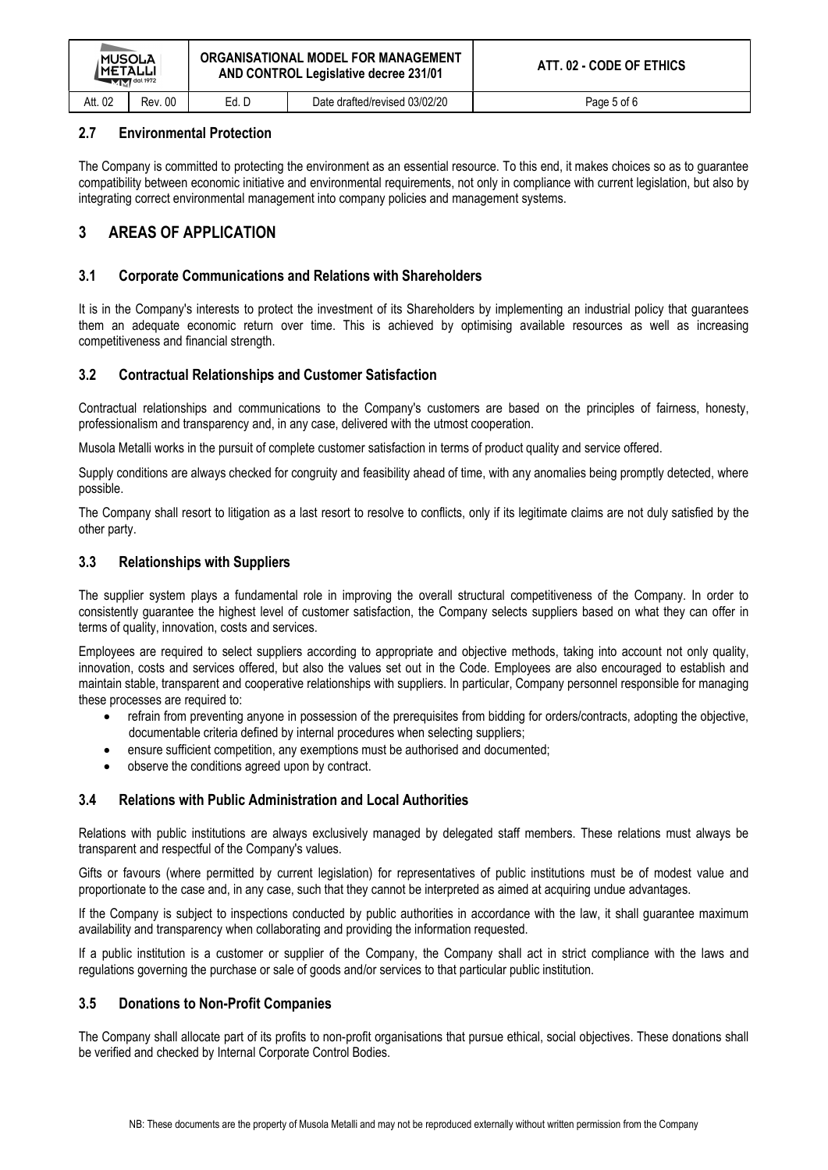| <b>MUSOLA</b><br>IMETALLI<br>$M$ $M$ <sup>dal 1972</sup> |                | ORGANISATIONAL MODEL FOR MANAGEMENT<br>AND CONTROL Legislative decree 231/01 |                               | ATT. 02 - CODE OF ETHICS |
|----------------------------------------------------------|----------------|------------------------------------------------------------------------------|-------------------------------|--------------------------|
| Att. 02                                                  | <b>Rev. 00</b> | Ed. D                                                                        | Date drafted/revised 03/02/20 | Page 5 of 6              |

#### 2.7 Environmental Protection

The Company is committed to protecting the environment as an essential resource. To this end, it makes choices so as to guarantee compatibility between economic initiative and environmental requirements, not only in compliance with current legislation, but also by integrating correct environmental management into company policies and management systems.

# 3 AREAS OF APPLICATION

## 3.1 Corporate Communications and Relations with Shareholders

It is in the Company's interests to protect the investment of its Shareholders by implementing an industrial policy that guarantees them an adequate economic return over time. This is achieved by optimising available resources as well as increasing competitiveness and financial strength.

## 3.2 Contractual Relationships and Customer Satisfaction

Contractual relationships and communications to the Company's customers are based on the principles of fairness, honesty, professionalism and transparency and, in any case, delivered with the utmost cooperation.

Musola Metalli works in the pursuit of complete customer satisfaction in terms of product quality and service offered.

Supply conditions are always checked for congruity and feasibility ahead of time, with any anomalies being promptly detected, where possible.

The Company shall resort to litigation as a last resort to resolve to conflicts, only if its legitimate claims are not duly satisfied by the other party.

## 3.3 Relationships with Suppliers

The supplier system plays a fundamental role in improving the overall structural competitiveness of the Company. In order to consistently guarantee the highest level of customer satisfaction, the Company selects suppliers based on what they can offer in terms of quality, innovation, costs and services.

Employees are required to select suppliers according to appropriate and objective methods, taking into account not only quality, innovation, costs and services offered, but also the values set out in the Code. Employees are also encouraged to establish and maintain stable, transparent and cooperative relationships with suppliers. In particular, Company personnel responsible for managing these processes are required to:

- refrain from preventing anyone in possession of the prerequisites from bidding for orders/contracts, adopting the objective, documentable criteria defined by internal procedures when selecting suppliers;
- ensure sufficient competition, any exemptions must be authorised and documented;
- observe the conditions agreed upon by contract.

## 3.4 Relations with Public Administration and Local Authorities

Relations with public institutions are always exclusively managed by delegated staff members. These relations must always be transparent and respectful of the Company's values.

Gifts or favours (where permitted by current legislation) for representatives of public institutions must be of modest value and proportionate to the case and, in any case, such that they cannot be interpreted as aimed at acquiring undue advantages.

If the Company is subject to inspections conducted by public authorities in accordance with the law, it shall guarantee maximum availability and transparency when collaborating and providing the information requested.

If a public institution is a customer or supplier of the Company, the Company shall act in strict compliance with the laws and regulations governing the purchase or sale of goods and/or services to that particular public institution.

## 3.5 Donations to Non-Profit Companies

The Company shall allocate part of its profits to non-profit organisations that pursue ethical, social objectives. These donations shall be verified and checked by Internal Corporate Control Bodies.